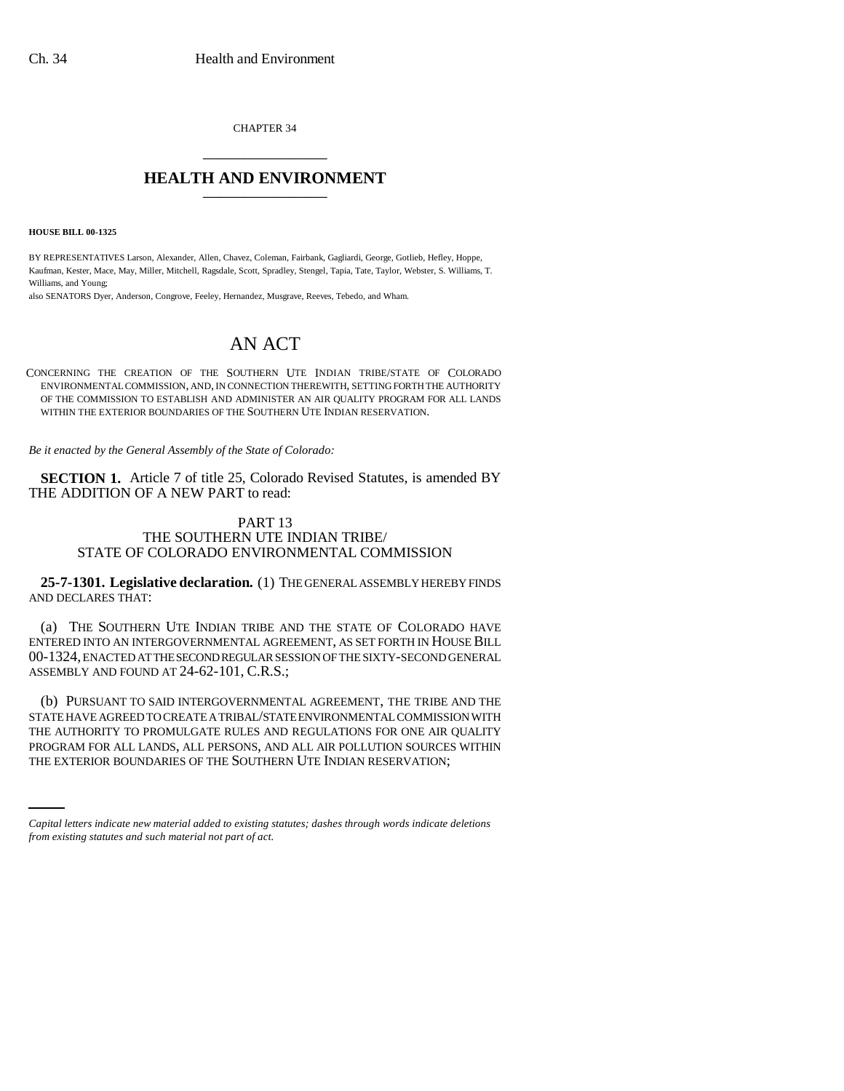CHAPTER 34 \_\_\_\_\_\_\_\_\_\_\_\_\_\_\_

## **HEALTH AND ENVIRONMENT** \_\_\_\_\_\_\_\_\_\_\_\_\_\_\_

**HOUSE BILL 00-1325** 

BY REPRESENTATIVES Larson, Alexander, Allen, Chavez, Coleman, Fairbank, Gagliardi, George, Gotlieb, Hefley, Hoppe, Kaufman, Kester, Mace, May, Miller, Mitchell, Ragsdale, Scott, Spradley, Stengel, Tapia, Tate, Taylor, Webster, S. Williams, T. Williams, and Young;

also SENATORS Dyer, Anderson, Congrove, Feeley, Hernandez, Musgrave, Reeves, Tebedo, and Wham.

# AN ACT

CONCERNING THE CREATION OF THE SOUTHERN UTE INDIAN TRIBE/STATE OF COLORADO ENVIRONMENTAL COMMISSION, AND, IN CONNECTION THEREWITH, SETTING FORTH THE AUTHORITY OF THE COMMISSION TO ESTABLISH AND ADMINISTER AN AIR QUALITY PROGRAM FOR ALL LANDS WITHIN THE EXTERIOR BOUNDARIES OF THE SOUTHERN UTE INDIAN RESERVATION.

*Be it enacted by the General Assembly of the State of Colorado:*

**SECTION 1.** Article 7 of title 25, Colorado Revised Statutes, is amended BY THE ADDITION OF A NEW PART to read:

### PART 13 THE SOUTHERN UTE INDIAN TRIBE/ STATE OF COLORADO ENVIRONMENTAL COMMISSION

**25-7-1301. Legislative declaration.** (1) THE GENERAL ASSEMBLY HEREBY FINDS AND DECLARES THAT:

(a) THE SOUTHERN UTE INDIAN TRIBE AND THE STATE OF COLORADO HAVE ENTERED INTO AN INTERGOVERNMENTAL AGREEMENT, AS SET FORTH IN HOUSE BILL 00-1324, ENACTED AT THE SECOND REGULAR SESSION OF THE SIXTY-SECOND GENERAL ASSEMBLY AND FOUND AT 24-62-101, C.R.S.;

THE AUTHORITY TO PROMULGATE RULES AND REGULATIONS FOR ONE AIR QUALITY<br>PROGRAM FOR ALL LANDS ALL PERSONS, AND ALL AIR DOLLETION SOURCES WITHN (b) PURSUANT TO SAID INTERGOVERNMENTAL AGREEMENT, THE TRIBE AND THE STATE HAVE AGREED TO CREATE A TRIBAL/STATE ENVIRONMENTAL COMMISSION WITH PROGRAM FOR ALL LANDS, ALL PERSONS, AND ALL AIR POLLUTION SOURCES WITHIN THE EXTERIOR BOUNDARIES OF THE SOUTHERN UTE INDIAN RESERVATION;

*Capital letters indicate new material added to existing statutes; dashes through words indicate deletions from existing statutes and such material not part of act.*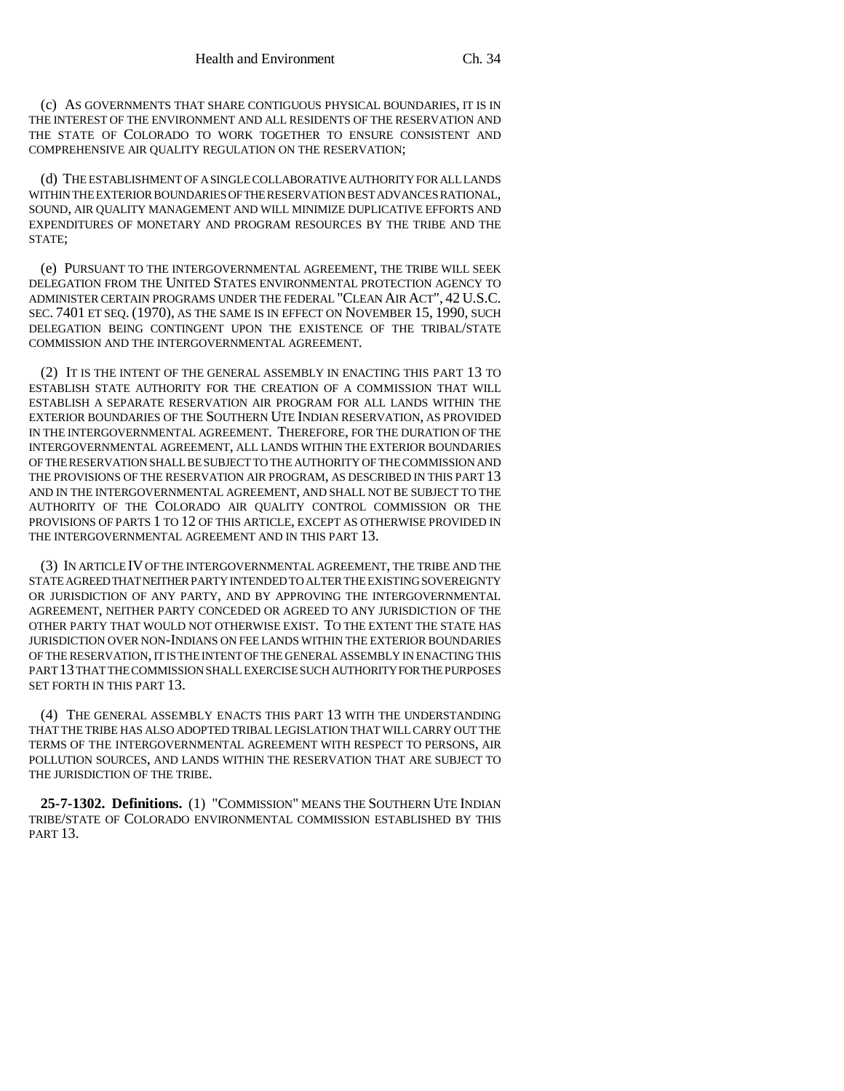(c) AS GOVERNMENTS THAT SHARE CONTIGUOUS PHYSICAL BOUNDARIES, IT IS IN THE INTEREST OF THE ENVIRONMENT AND ALL RESIDENTS OF THE RESERVATION AND THE STATE OF COLORADO TO WORK TOGETHER TO ENSURE CONSISTENT AND COMPREHENSIVE AIR QUALITY REGULATION ON THE RESERVATION;

(d) THE ESTABLISHMENT OF A SINGLE COLLABORATIVE AUTHORITY FOR ALL LANDS WITHIN THE EXTERIOR BOUNDARIES OF THE RESERVATION BEST ADVANCES RATIONAL, SOUND, AIR QUALITY MANAGEMENT AND WILL MINIMIZE DUPLICATIVE EFFORTS AND EXPENDITURES OF MONETARY AND PROGRAM RESOURCES BY THE TRIBE AND THE STATE;

(e) PURSUANT TO THE INTERGOVERNMENTAL AGREEMENT, THE TRIBE WILL SEEK DELEGATION FROM THE UNITED STATES ENVIRONMENTAL PROTECTION AGENCY TO ADMINISTER CERTAIN PROGRAMS UNDER THE FEDERAL "CLEAN AIR ACT", 42 U.S.C. SEC. 7401 ET SEQ. (1970), AS THE SAME IS IN EFFECT ON NOVEMBER 15, 1990, SUCH DELEGATION BEING CONTINGENT UPON THE EXISTENCE OF THE TRIBAL/STATE COMMISSION AND THE INTERGOVERNMENTAL AGREEMENT.

(2) IT IS THE INTENT OF THE GENERAL ASSEMBLY IN ENACTING THIS PART 13 TO ESTABLISH STATE AUTHORITY FOR THE CREATION OF A COMMISSION THAT WILL ESTABLISH A SEPARATE RESERVATION AIR PROGRAM FOR ALL LANDS WITHIN THE EXTERIOR BOUNDARIES OF THE SOUTHERN UTE INDIAN RESERVATION, AS PROVIDED IN THE INTERGOVERNMENTAL AGREEMENT. THEREFORE, FOR THE DURATION OF THE INTERGOVERNMENTAL AGREEMENT, ALL LANDS WITHIN THE EXTERIOR BOUNDARIES OF THE RESERVATION SHALL BE SUBJECT TO THE AUTHORITY OF THE COMMISSION AND THE PROVISIONS OF THE RESERVATION AIR PROGRAM, AS DESCRIBED IN THIS PART 13 AND IN THE INTERGOVERNMENTAL AGREEMENT, AND SHALL NOT BE SUBJECT TO THE AUTHORITY OF THE COLORADO AIR QUALITY CONTROL COMMISSION OR THE PROVISIONS OF PARTS 1 TO 12 OF THIS ARTICLE, EXCEPT AS OTHERWISE PROVIDED IN THE INTERGOVERNMENTAL AGREEMENT AND IN THIS PART 13.

(3) IN ARTICLE IV OF THE INTERGOVERNMENTAL AGREEMENT, THE TRIBE AND THE STATE AGREED THAT NEITHER PARTY INTENDED TO ALTER THE EXISTING SOVEREIGNTY OR JURISDICTION OF ANY PARTY, AND BY APPROVING THE INTERGOVERNMENTAL AGREEMENT, NEITHER PARTY CONCEDED OR AGREED TO ANY JURISDICTION OF THE OTHER PARTY THAT WOULD NOT OTHERWISE EXIST. TO THE EXTENT THE STATE HAS JURISDICTION OVER NON-INDIANS ON FEE LANDS WITHIN THE EXTERIOR BOUNDARIES OF THE RESERVATION, IT IS THE INTENT OF THE GENERAL ASSEMBLY IN ENACTING THIS PART 13 THAT THE COMMISSION SHALL EXERCISE SUCH AUTHORITY FOR THE PURPOSES SET FORTH IN THIS PART 13.

(4) THE GENERAL ASSEMBLY ENACTS THIS PART 13 WITH THE UNDERSTANDING THAT THE TRIBE HAS ALSO ADOPTED TRIBAL LEGISLATION THAT WILL CARRY OUT THE TERMS OF THE INTERGOVERNMENTAL AGREEMENT WITH RESPECT TO PERSONS, AIR POLLUTION SOURCES, AND LANDS WITHIN THE RESERVATION THAT ARE SUBJECT TO THE JURISDICTION OF THE TRIBE.

**25-7-1302. Definitions.** (1) "COMMISSION" MEANS THE SOUTHERN UTE INDIAN TRIBE/STATE OF COLORADO ENVIRONMENTAL COMMISSION ESTABLISHED BY THIS PART 13.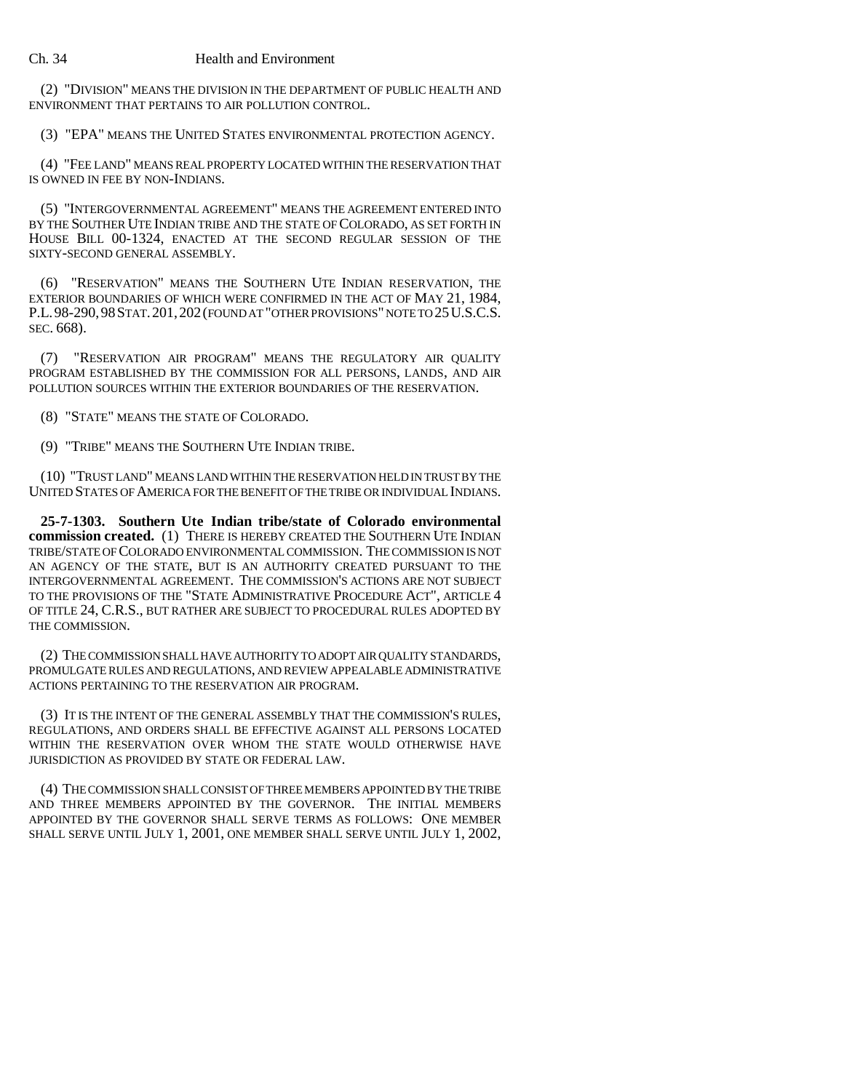### Ch. 34 Health and Environment

(2) "DIVISION" MEANS THE DIVISION IN THE DEPARTMENT OF PUBLIC HEALTH AND ENVIRONMENT THAT PERTAINS TO AIR POLLUTION CONTROL.

(3) "EPA" MEANS THE UNITED STATES ENVIRONMENTAL PROTECTION AGENCY.

(4) "FEE LAND" MEANS REAL PROPERTY LOCATED WITHIN THE RESERVATION THAT IS OWNED IN FEE BY NON-INDIANS.

(5) ''INTERGOVERNMENTAL AGREEMENT" MEANS THE AGREEMENT ENTERED INTO BY THE SOUTHER UTE INDIAN TRIBE AND THE STATE OF COLORADO, AS SET FORTH IN HOUSE BILL 00-1324, ENACTED AT THE SECOND REGULAR SESSION OF THE SIXTY-SECOND GENERAL ASSEMBLY.

(6) "RESERVATION" MEANS THE SOUTHERN UTE INDIAN RESERVATION, THE EXTERIOR BOUNDARIES OF WHICH WERE CONFIRMED IN THE ACT OF MAY 21, 1984, P.L.98-290,98STAT.201,202(FOUND AT "OTHER PROVISIONS" NOTE TO 25U.S.C.S. SEC. 668).

(7) "RESERVATION AIR PROGRAM" MEANS THE REGULATORY AIR QUALITY PROGRAM ESTABLISHED BY THE COMMISSION FOR ALL PERSONS, LANDS, AND AIR POLLUTION SOURCES WITHIN THE EXTERIOR BOUNDARIES OF THE RESERVATION.

(8) "STATE" MEANS THE STATE OF COLORADO.

(9) "TRIBE" MEANS THE SOUTHERN UTE INDIAN TRIBE.

(10) "TRUST LAND" MEANS LAND WITHIN THE RESERVATION HELD IN TRUST BY THE UNITED STATES OF AMERICA FOR THE BENEFIT OF THE TRIBE OR INDIVIDUAL INDIANS.

**25-7-1303. Southern Ute Indian tribe/state of Colorado environmental commission created.** (1) THERE IS HEREBY CREATED THE SOUTHERN UTE INDIAN TRIBE/STATE OF COLORADO ENVIRONMENTAL COMMISSION. THE COMMISSION IS NOT AN AGENCY OF THE STATE, BUT IS AN AUTHORITY CREATED PURSUANT TO THE INTERGOVERNMENTAL AGREEMENT. THE COMMISSION'S ACTIONS ARE NOT SUBJECT TO THE PROVISIONS OF THE "STATE ADMINISTRATIVE PROCEDURE ACT", ARTICLE 4 OF TITLE 24, C.R.S., BUT RATHER ARE SUBJECT TO PROCEDURAL RULES ADOPTED BY THE COMMISSION.

(2) THE COMMISSION SHALL HAVE AUTHORITY TO ADOPT AIR QUALITY STANDARDS, PROMULGATE RULES AND REGULATIONS, AND REVIEW APPEALABLE ADMINISTRATIVE ACTIONS PERTAINING TO THE RESERVATION AIR PROGRAM.

(3) IT IS THE INTENT OF THE GENERAL ASSEMBLY THAT THE COMMISSION'S RULES, REGULATIONS, AND ORDERS SHALL BE EFFECTIVE AGAINST ALL PERSONS LOCATED WITHIN THE RESERVATION OVER WHOM THE STATE WOULD OTHERWISE HAVE JURISDICTION AS PROVIDED BY STATE OR FEDERAL LAW.

(4) THE COMMISSION SHALL CONSIST OF THREE MEMBERS APPOINTED BY THE TRIBE AND THREE MEMBERS APPOINTED BY THE GOVERNOR. THE INITIAL MEMBERS APPOINTED BY THE GOVERNOR SHALL SERVE TERMS AS FOLLOWS: ONE MEMBER SHALL SERVE UNTIL JULY 1, 2001, ONE MEMBER SHALL SERVE UNTIL JULY 1, 2002,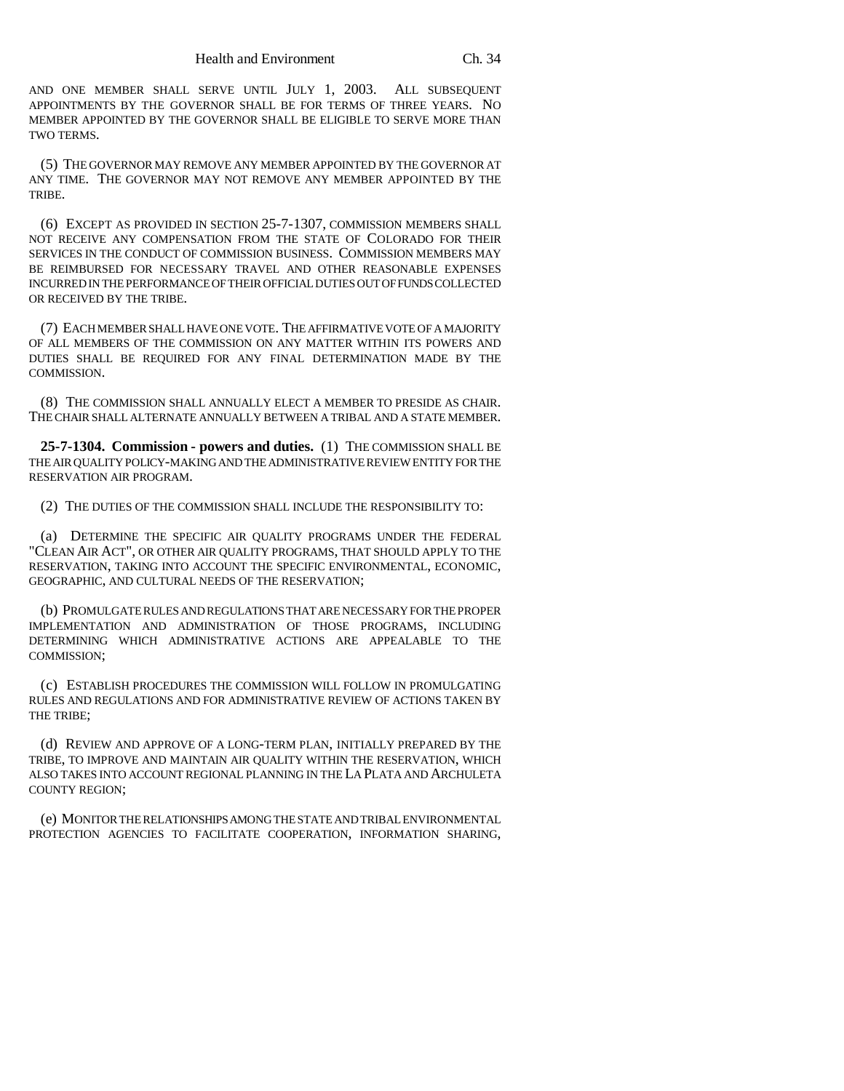AND ONE MEMBER SHALL SERVE UNTIL JULY 1, 2003. ALL SUBSEQUENT APPOINTMENTS BY THE GOVERNOR SHALL BE FOR TERMS OF THREE YEARS. NO MEMBER APPOINTED BY THE GOVERNOR SHALL BE ELIGIBLE TO SERVE MORE THAN TWO TERMS.

(5) THE GOVERNOR MAY REMOVE ANY MEMBER APPOINTED BY THE GOVERNOR AT ANY TIME. THE GOVERNOR MAY NOT REMOVE ANY MEMBER APPOINTED BY THE **TRIBE** 

(6) EXCEPT AS PROVIDED IN SECTION 25-7-1307, COMMISSION MEMBERS SHALL NOT RECEIVE ANY COMPENSATION FROM THE STATE OF COLORADO FOR THEIR SERVICES IN THE CONDUCT OF COMMISSION BUSINESS. COMMISSION MEMBERS MAY BE REIMBURSED FOR NECESSARY TRAVEL AND OTHER REASONABLE EXPENSES INCURRED IN THE PERFORMANCE OF THEIR OFFICIAL DUTIES OUT OF FUNDS COLLECTED OR RECEIVED BY THE TRIBE.

(7) EACH MEMBER SHALL HAVE ONE VOTE. THE AFFIRMATIVE VOTE OF A MAJORITY OF ALL MEMBERS OF THE COMMISSION ON ANY MATTER WITHIN ITS POWERS AND DUTIES SHALL BE REQUIRED FOR ANY FINAL DETERMINATION MADE BY THE COMMISSION.

(8) THE COMMISSION SHALL ANNUALLY ELECT A MEMBER TO PRESIDE AS CHAIR. THE CHAIR SHALL ALTERNATE ANNUALLY BETWEEN A TRIBAL AND A STATE MEMBER.

**25-7-1304. Commission - powers and duties.** (1) THE COMMISSION SHALL BE THE AIR QUALITY POLICY-MAKING AND THE ADMINISTRATIVE REVIEW ENTITY FOR THE RESERVATION AIR PROGRAM.

(2) THE DUTIES OF THE COMMISSION SHALL INCLUDE THE RESPONSIBILITY TO:

(a) DETERMINE THE SPECIFIC AIR QUALITY PROGRAMS UNDER THE FEDERAL "CLEAN AIR ACT", OR OTHER AIR QUALITY PROGRAMS, THAT SHOULD APPLY TO THE RESERVATION, TAKING INTO ACCOUNT THE SPECIFIC ENVIRONMENTAL, ECONOMIC, GEOGRAPHIC, AND CULTURAL NEEDS OF THE RESERVATION;

(b) PROMULGATE RULES AND REGULATIONS THAT ARE NECESSARY FOR THE PROPER IMPLEMENTATION AND ADMINISTRATION OF THOSE PROGRAMS, INCLUDING DETERMINING WHICH ADMINISTRATIVE ACTIONS ARE APPEALABLE TO THE COMMISSION;

(c) ESTABLISH PROCEDURES THE COMMISSION WILL FOLLOW IN PROMULGATING RULES AND REGULATIONS AND FOR ADMINISTRATIVE REVIEW OF ACTIONS TAKEN BY THE TRIBE;

(d) REVIEW AND APPROVE OF A LONG-TERM PLAN, INITIALLY PREPARED BY THE TRIBE, TO IMPROVE AND MAINTAIN AIR QUALITY WITHIN THE RESERVATION, WHICH ALSO TAKES INTO ACCOUNT REGIONAL PLANNING IN THE LA PLATA AND ARCHULETA COUNTY REGION;

(e) MONITOR THE RELATIONSHIPS AMONG THE STATE AND TRIBAL ENVIRONMENTAL PROTECTION AGENCIES TO FACILITATE COOPERATION, INFORMATION SHARING,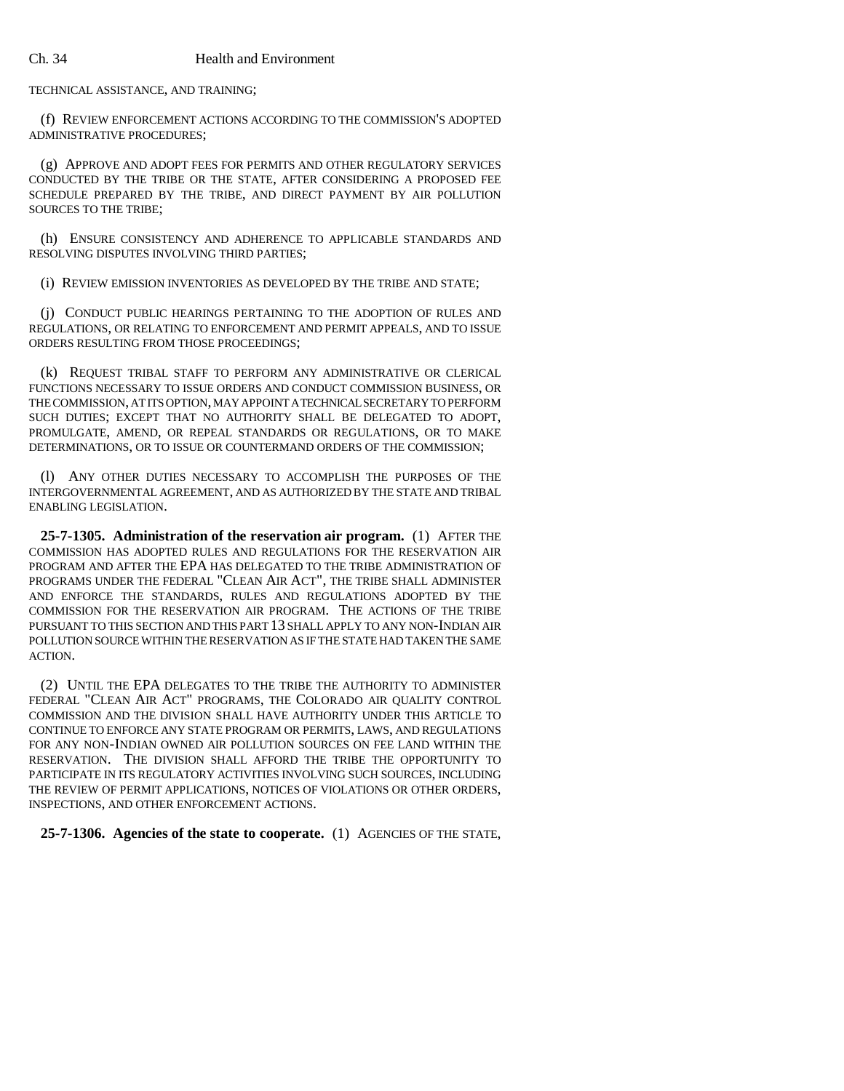#### Ch. 34 Health and Environment

TECHNICAL ASSISTANCE, AND TRAINING;

(f) REVIEW ENFORCEMENT ACTIONS ACCORDING TO THE COMMISSION'S ADOPTED ADMINISTRATIVE PROCEDURES;

(g) APPROVE AND ADOPT FEES FOR PERMITS AND OTHER REGULATORY SERVICES CONDUCTED BY THE TRIBE OR THE STATE, AFTER CONSIDERING A PROPOSED FEE SCHEDULE PREPARED BY THE TRIBE, AND DIRECT PAYMENT BY AIR POLLUTION SOURCES TO THE TRIBE;

(h) ENSURE CONSISTENCY AND ADHERENCE TO APPLICABLE STANDARDS AND RESOLVING DISPUTES INVOLVING THIRD PARTIES;

(i) REVIEW EMISSION INVENTORIES AS DEVELOPED BY THE TRIBE AND STATE;

(j) CONDUCT PUBLIC HEARINGS PERTAINING TO THE ADOPTION OF RULES AND REGULATIONS, OR RELATING TO ENFORCEMENT AND PERMIT APPEALS, AND TO ISSUE ORDERS RESULTING FROM THOSE PROCEEDINGS;

(k) REQUEST TRIBAL STAFF TO PERFORM ANY ADMINISTRATIVE OR CLERICAL FUNCTIONS NECESSARY TO ISSUE ORDERS AND CONDUCT COMMISSION BUSINESS, OR THE COMMISSION, AT ITS OPTION, MAY APPOINT A TECHNICAL SECRETARY TO PERFORM SUCH DUTIES; EXCEPT THAT NO AUTHORITY SHALL BE DELEGATED TO ADOPT, PROMULGATE, AMEND, OR REPEAL STANDARDS OR REGULATIONS, OR TO MAKE DETERMINATIONS, OR TO ISSUE OR COUNTERMAND ORDERS OF THE COMMISSION;

(l) ANY OTHER DUTIES NECESSARY TO ACCOMPLISH THE PURPOSES OF THE INTERGOVERNMENTAL AGREEMENT, AND AS AUTHORIZED BY THE STATE AND TRIBAL ENABLING LEGISLATION.

**25-7-1305. Administration of the reservation air program.** (1) AFTER THE COMMISSION HAS ADOPTED RULES AND REGULATIONS FOR THE RESERVATION AIR PROGRAM AND AFTER THE EPA HAS DELEGATED TO THE TRIBE ADMINISTRATION OF PROGRAMS UNDER THE FEDERAL "CLEAN AIR ACT", THE TRIBE SHALL ADMINISTER AND ENFORCE THE STANDARDS, RULES AND REGULATIONS ADOPTED BY THE COMMISSION FOR THE RESERVATION AIR PROGRAM. THE ACTIONS OF THE TRIBE PURSUANT TO THIS SECTION AND THIS PART 13 SHALL APPLY TO ANY NON-INDIAN AIR POLLUTION SOURCE WITHIN THE RESERVATION AS IF THE STATE HAD TAKEN THE SAME ACTION.

(2) UNTIL THE EPA DELEGATES TO THE TRIBE THE AUTHORITY TO ADMINISTER FEDERAL "CLEAN AIR ACT" PROGRAMS, THE COLORADO AIR QUALITY CONTROL COMMISSION AND THE DIVISION SHALL HAVE AUTHORITY UNDER THIS ARTICLE TO CONTINUE TO ENFORCE ANY STATE PROGRAM OR PERMITS, LAWS, AND REGULATIONS FOR ANY NON-INDIAN OWNED AIR POLLUTION SOURCES ON FEE LAND WITHIN THE RESERVATION. THE DIVISION SHALL AFFORD THE TRIBE THE OPPORTUNITY TO PARTICIPATE IN ITS REGULATORY ACTIVITIES INVOLVING SUCH SOURCES, INCLUDING THE REVIEW OF PERMIT APPLICATIONS, NOTICES OF VIOLATIONS OR OTHER ORDERS, INSPECTIONS, AND OTHER ENFORCEMENT ACTIONS.

**25-7-1306. Agencies of the state to cooperate.** (1) AGENCIES OF THE STATE,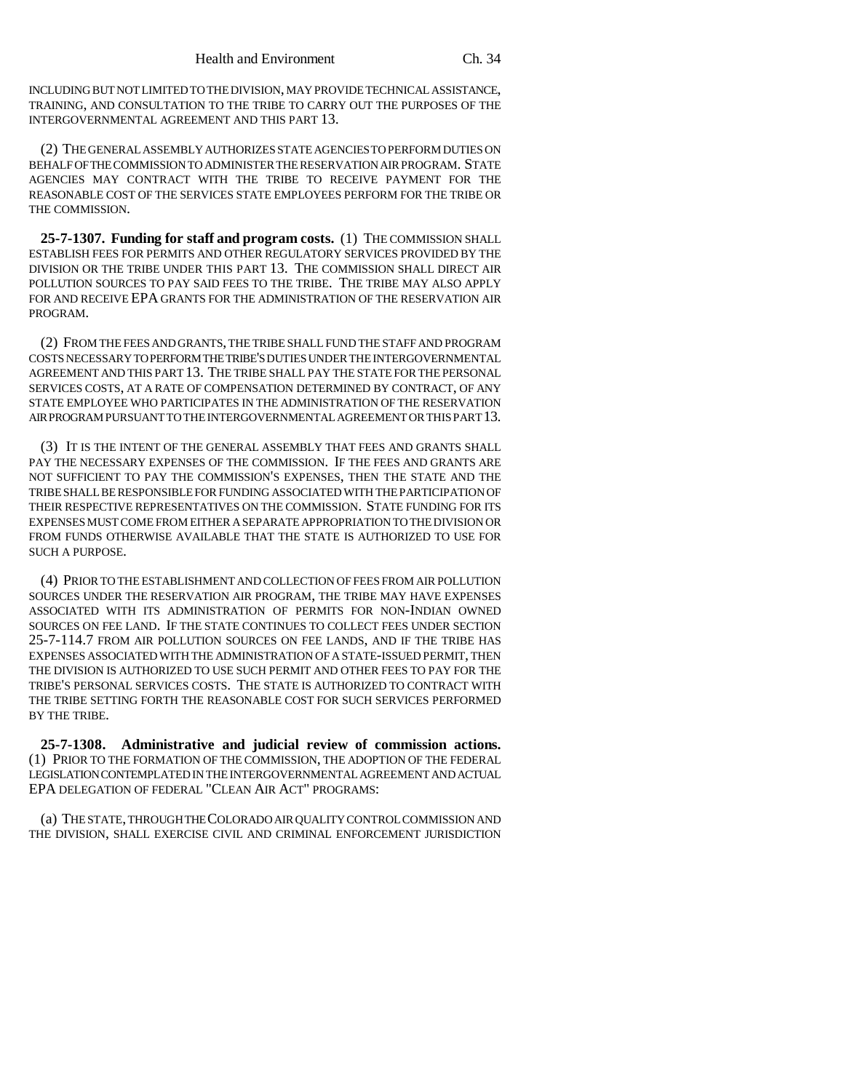INCLUDING BUT NOT LIMITED TO THE DIVISION, MAY PROVIDE TECHNICAL ASSISTANCE, TRAINING, AND CONSULTATION TO THE TRIBE TO CARRY OUT THE PURPOSES OF THE INTERGOVERNMENTAL AGREEMENT AND THIS PART 13.

(2) THE GENERAL ASSEMBLY AUTHORIZES STATE AGENCIES TO PERFORM DUTIES ON BEHALF OF THE COMMISSION TO ADMINISTER THE RESERVATION AIR PROGRAM. STATE AGENCIES MAY CONTRACT WITH THE TRIBE TO RECEIVE PAYMENT FOR THE REASONABLE COST OF THE SERVICES STATE EMPLOYEES PERFORM FOR THE TRIBE OR THE COMMISSION.

**25-7-1307. Funding for staff and program costs.** (1) THE COMMISSION SHALL ESTABLISH FEES FOR PERMITS AND OTHER REGULATORY SERVICES PROVIDED BY THE DIVISION OR THE TRIBE UNDER THIS PART 13. THE COMMISSION SHALL DIRECT AIR POLLUTION SOURCES TO PAY SAID FEES TO THE TRIBE. THE TRIBE MAY ALSO APPLY FOR AND RECEIVE EPA GRANTS FOR THE ADMINISTRATION OF THE RESERVATION AIR PROGRAM.

(2) FROM THE FEES AND GRANTS, THE TRIBE SHALL FUND THE STAFF AND PROGRAM COSTS NECESSARY TO PERFORM THE TRIBE'S DUTIES UNDER THE INTERGOVERNMENTAL AGREEMENT AND THIS PART 13. THE TRIBE SHALL PAY THE STATE FOR THE PERSONAL SERVICES COSTS, AT A RATE OF COMPENSATION DETERMINED BY CONTRACT, OF ANY STATE EMPLOYEE WHO PARTICIPATES IN THE ADMINISTRATION OF THE RESERVATION AIR PROGRAM PURSUANT TO THE INTERGOVERNMENTAL AGREEMENT OR THIS PART 13.

(3) IT IS THE INTENT OF THE GENERAL ASSEMBLY THAT FEES AND GRANTS SHALL PAY THE NECESSARY EXPENSES OF THE COMMISSION. IF THE FEES AND GRANTS ARE NOT SUFFICIENT TO PAY THE COMMISSION'S EXPENSES, THEN THE STATE AND THE TRIBE SHALL BE RESPONSIBLE FOR FUNDING ASSOCIATED WITH THE PARTICIPATION OF THEIR RESPECTIVE REPRESENTATIVES ON THE COMMISSION. STATE FUNDING FOR ITS EXPENSES MUST COME FROM EITHER A SEPARATE APPROPRIATION TO THE DIVISION OR FROM FUNDS OTHERWISE AVAILABLE THAT THE STATE IS AUTHORIZED TO USE FOR SUCH A PURPOSE.

(4) PRIOR TO THE ESTABLISHMENT AND COLLECTION OF FEES FROM AIR POLLUTION SOURCES UNDER THE RESERVATION AIR PROGRAM, THE TRIBE MAY HAVE EXPENSES ASSOCIATED WITH ITS ADMINISTRATION OF PERMITS FOR NON-INDIAN OWNED SOURCES ON FEE LAND. IF THE STATE CONTINUES TO COLLECT FEES UNDER SECTION 25-7-114.7 FROM AIR POLLUTION SOURCES ON FEE LANDS, AND IF THE TRIBE HAS EXPENSES ASSOCIATED WITH THE ADMINISTRATION OF A STATE-ISSUED PERMIT, THEN THE DIVISION IS AUTHORIZED TO USE SUCH PERMIT AND OTHER FEES TO PAY FOR THE TRIBE'S PERSONAL SERVICES COSTS. THE STATE IS AUTHORIZED TO CONTRACT WITH THE TRIBE SETTING FORTH THE REASONABLE COST FOR SUCH SERVICES PERFORMED BY THE TRIBE.

**25-7-1308. Administrative and judicial review of commission actions.** (1) PRIOR TO THE FORMATION OF THE COMMISSION, THE ADOPTION OF THE FEDERAL LEGISLATION CONTEMPLATED IN THE INTERGOVERNMENTAL AGREEMENT AND ACTUAL EPA DELEGATION OF FEDERAL "CLEAN AIR ACT" PROGRAMS:

(a) THE STATE, THROUGH THE COLORADO AIR QUALITY CONTROL COMMISSION AND THE DIVISION, SHALL EXERCISE CIVIL AND CRIMINAL ENFORCEMENT JURISDICTION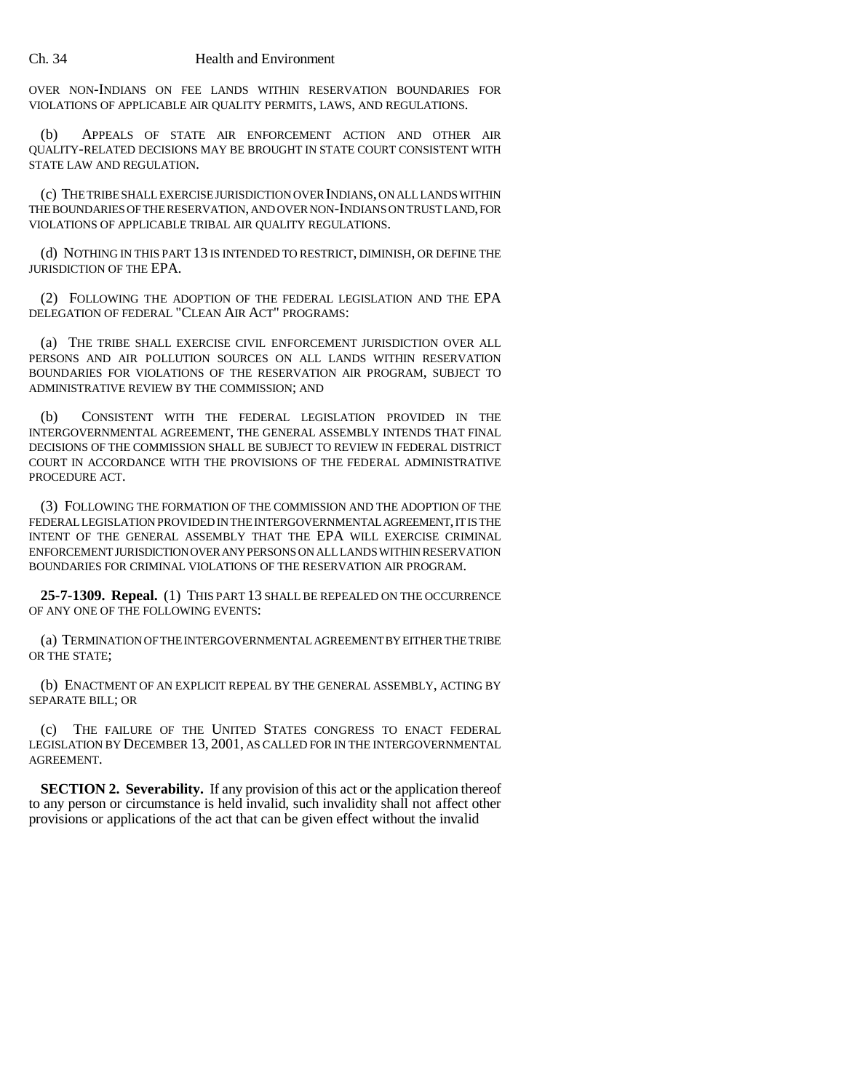OVER NON-INDIANS ON FEE LANDS WITHIN RESERVATION BOUNDARIES FOR VIOLATIONS OF APPLICABLE AIR QUALITY PERMITS, LAWS, AND REGULATIONS.

(b) APPEALS OF STATE AIR ENFORCEMENT ACTION AND OTHER AIR QUALITY-RELATED DECISIONS MAY BE BROUGHT IN STATE COURT CONSISTENT WITH STATE LAW AND REGULATION.

(c) THE TRIBE SHALL EXERCISE JURISDICTION OVER INDIANS, ON ALL LANDS WITHIN THE BOUNDARIES OF THE RESERVATION, AND OVER NON-INDIANS ON TRUST LAND, FOR VIOLATIONS OF APPLICABLE TRIBAL AIR QUALITY REGULATIONS.

(d) NOTHING IN THIS PART 13 IS INTENDED TO RESTRICT, DIMINISH, OR DEFINE THE JURISDICTION OF THE EPA.

(2) FOLLOWING THE ADOPTION OF THE FEDERAL LEGISLATION AND THE EPA DELEGATION OF FEDERAL "CLEAN AIR ACT" PROGRAMS:

(a) THE TRIBE SHALL EXERCISE CIVIL ENFORCEMENT JURISDICTION OVER ALL PERSONS AND AIR POLLUTION SOURCES ON ALL LANDS WITHIN RESERVATION BOUNDARIES FOR VIOLATIONS OF THE RESERVATION AIR PROGRAM, SUBJECT TO ADMINISTRATIVE REVIEW BY THE COMMISSION; AND

(b) CONSISTENT WITH THE FEDERAL LEGISLATION PROVIDED IN THE INTERGOVERNMENTAL AGREEMENT, THE GENERAL ASSEMBLY INTENDS THAT FINAL DECISIONS OF THE COMMISSION SHALL BE SUBJECT TO REVIEW IN FEDERAL DISTRICT COURT IN ACCORDANCE WITH THE PROVISIONS OF THE FEDERAL ADMINISTRATIVE PROCEDURE ACT.

(3) FOLLOWING THE FORMATION OF THE COMMISSION AND THE ADOPTION OF THE FEDERAL LEGISLATION PROVIDED IN THE INTERGOVERNMENTAL AGREEMENT, IT IS THE INTENT OF THE GENERAL ASSEMBLY THAT THE EPA WILL EXERCISE CRIMINAL ENFORCEMENT JURISDICTION OVER ANY PERSONS ON ALL LANDS WITHIN RESERVATION BOUNDARIES FOR CRIMINAL VIOLATIONS OF THE RESERVATION AIR PROGRAM.

**25-7-1309. Repeal.** (1) THIS PART 13 SHALL BE REPEALED ON THE OCCURRENCE OF ANY ONE OF THE FOLLOWING EVENTS:

(a) TERMINATION OF THE INTERGOVERNMENTAL AGREEMENT BY EITHER THE TRIBE OR THE STATE;

(b) ENACTMENT OF AN EXPLICIT REPEAL BY THE GENERAL ASSEMBLY, ACTING BY SEPARATE BILL; OR

(c) THE FAILURE OF THE UNITED STATES CONGRESS TO ENACT FEDERAL LEGISLATION BY DECEMBER 13, 2001, AS CALLED FOR IN THE INTERGOVERNMENTAL AGREEMENT.

**SECTION 2. Severability.** If any provision of this act or the application thereof to any person or circumstance is held invalid, such invalidity shall not affect other provisions or applications of the act that can be given effect without the invalid